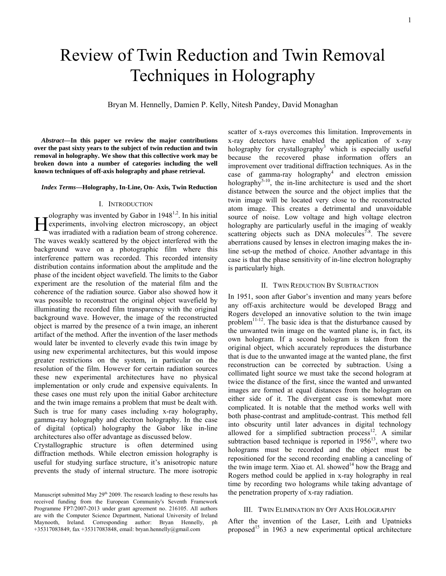1

# Review of Twin Reduction and Twin Removal Techniques in Holography

Bryan M. Hennelly, Damien P. Kelly, Nitesh Pandey, David Monaghan

*Abstract***—In this paper we review the major contributions over the past sixty years to the subject of twin reduction and twin removal in holography. We show that this collective work may be broken down into a number of categories including the well known techniques of off-axis holography and phase retrieval.** 

*Index Terms***—Holography, In-Line, On- Axis, Twin Reduction** 

## I. INTRODUCTION

olography was invented by Gabor in  $1948^{1,2}$ . In his initial **EXECUTE:** The meansum of the state of the state of the state of the state of the was irradiated with a radiation beam of strong coherence. was irradiated with a radiation beam of strong coherence. The waves weakly scattered by the object interfered with the background wave on a photographic film where this interference pattern was recorded. This recorded intensity distribution contains information about the amplitude and the phase of the incident object wavefield. The limits to the Gabor experiment are the resolution of the material film and the coherence of the radiation source. Gabor also showed how it was possible to reconstruct the original object wavefield by illuminating the recorded film transparency with the original background wave. However, the image of the reconstructed object is marred by the presence of a twin image, an inherent artifact of the method. After the invention of the laser methods would later be invented to cleverly evade this twin image by using new experimental architectures, but this would impose greater restrictions on the system, in particular on the resolution of the film. However for certain radiation sources these new experimental architectures have no physical implementation or only crude and expensive equivalents. In these cases one must rely upon the initial Gabor architecture and the twin image remains a problem that must be dealt with. Such is true for many cases including x-ray holography, gamma-ray holography and electron holography. In the case of digital (optical) holography the Gabor like in-line architectures also offer advantage as discussed below.

Crystallographic structure is often determined using diffraction methods. While electron emission holography is useful for studying surface structure, it's anisotropic nature prevents the study of internal structure. The more isotropic

scatter of x-rays overcomes this limitation. Improvements in x-ray detectors have enabled the application of x-ray holography for crystallography<sup>3</sup> which is especially useful because the recovered phase information offers an improvement over traditional diffraction techniques. As in the case of gamma-ray holography<sup>4</sup> and electron emission holography<sup>5-10</sup>, the in-line architecture is used and the short distance between the source and the object implies that the twin image will be located very close to the reconstructed atom image. This creates a detrimental and unavoidable source of noise. Low voltage and high voltage electron holography are particularly useful in the imaging of weakly scattering objects such as DNA molecules $7<sup>5</sup>$ . The severe aberrations caused by lenses in electron imaging makes the inline set-up the method of choice. Another advantage in this case is that the phase sensitivity of in-line electron holography is particularly high.

## II. TWIN REDUCTION BY SUBTRACTION

In 1951, soon after Gabor's invention and many years before any off-axis architecture would be developed Bragg and Rogers developed an innovative solution to the twin image problem<sup>11-12</sup>. The basic idea is that the disturbance caused by the unwanted twin image on the wanted plane is, in fact, its own hologram. If a second hologram is taken from the original object, which accurately reproduces the disturbance that is due to the unwanted image at the wanted plane, the first reconstruction can be corrected by subtraction. Using a collimated light source we must take the second hologram at twice the distance of the first, since the wanted and unwanted images are formed at equal distances from the hologram on either side of it. The divergent case is somewhat more complicated. It is notable that the method works well with both phase-contrast and amplitude-contrast. This method fell into obscurity until later advances in digital technology allowed for a simplified subtraction process $12$ . A similar subtraction based technique is reported in  $1956^{13}$ , where two holograms must be recorded and the object must be repositioned for the second recording enabling a canceling of the twin image term. Xiao et. Al. showed<sup>14</sup> how the Bragg and Rogers method could be applied in x-ray holography in real time by recording two holograms while taking advantage of the penetration property of x-ray radiation.

## III. TWIN ELIMINATION BY OFF AXIS HOLOGRAPHY

After the invention of the Laser, Leith and Upatnieks proposed<sup>15</sup> in 1963 a new experimental optical architecture

Manuscript submitted May  $29<sup>th</sup> 2009$ . The research leading to these results has received funding from the European Community's Seventh Framework Programme FP7/2007-2013 under grant agreement no. 216105. All authors are with the Computer Science Department, National University of Ireland Maynooth, Ireland. Corresponding author: Bryan Hennelly, ph +35317083849, fax +35317083848, email: bryan.hennelly@gmail.com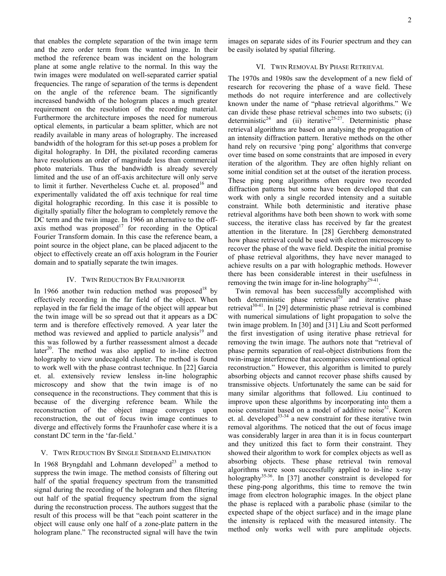that enables the complete separation of the twin image term and the zero order term from the wanted image. In their method the reference beam was incident on the hologram plane at some angle relative to the normal. In this way the twin images were modulated on well-separated carrier spatial frequencies. The range of separation of the terms is dependent on the angle of the reference beam. The significantly increased bandwidth of the hologram places a much greater requirement on the resolution of the recording material. Furthermore the architecture imposes the need for numerous optical elements, in particular a beam splitter, which are not readily available in many areas of holography. The increased bandwidth of the hologram for this set-up poses a problem for digital holography. In DH, the pixilated recording cameras have resolutions an order of magnitude less than commercial photo materials. Thus the bandwidth is already severely limited and the use of an off-axis architecture will only serve to limit it further. Nevertheless Cuche et. al. proposed<sup>16</sup> and experimentally validated the off axis technique for real time digital holographic recording. In this case it is possible to digitally spatially filter the hologram to completely remove the DC term and the twin image. In 1966 an alternative to the offaxis method was proposed<sup>17</sup> for recording in the Optical Fourier Transform domain. In this case the reference beam, a point source in the object plane, can be placed adjacent to the object to effectively create an off axis hologram in the Fourier domain and to spatially separate the twin images.

#### IV. TWIN REDUCTION BY FRAUNHOFER

In 1966 another twin reduction method was proposed<sup>18</sup> by effectively recording in the far field of the object. When replayed in the far field the image of the object will appear but the twin image will be so spread out that it appears as a DC term and is therefore effectively removed. A year later the method was reviewed and applied to particle analysis<sup>19</sup> and this was followed by a further reassessment almost a decade later<sup>20</sup>. The method was also applied to in-line electron holography to view undecagold cluster. The method is found to work well with the phase contrast technique. In [22] Garcia et. al. extensively review lensless in-line holographic microscopy and show that the twin image is of no consequence in the reconstructions. They comment that this is because of the diverging reference beam. While the reconstruction of the object image converges upon reconstruction, the out of focus twin image continues to diverge and effectively forms the Fraunhofer case where it is a constant DC term in the 'far-field.'

## V. TWIN REDUCTION BY SINGLE SIDEBAND ELIMINATION

In 1968 Bryngdahl and Lohmann developed<sup>23</sup> a method to suppress the twin image. The method consists of filtering out half of the spatial frequency spectrum from the transmitted signal during the recording of the hologram and then filtering out half of the spatial frequency spectrum from the signal during the reconstruction process. The authors suggest that the result of this process will be that "each point scatterer in the object will cause only one half of a zone-plate pattern in the hologram plane." The reconstructed signal will have the twin

images on separate sides of its Fourier spectrum and they can be easily isolated by spatial filtering.

## VI. TWIN REMOVAL BY PHASE RETRIEVAL

The 1970s and 1980s saw the development of a new field of research for recovering the phase of a wave field. These methods do not require interference and are collectively known under the name of "phase retrieval algorithms." We can divide these phase retrieval schemes into two subsets; (i) deterministic<sup>24</sup> and (ii) iterative<sup>25-27</sup>. Deterministic phase retrieval algorithms are based on analysing the propagation of an intensity diffraction pattern. Iterative methods on the other hand rely on recursive 'ping pong' algorithms that converge over time based on some constraints that are imposed in every iteration of the algorithm. They are often highly reliant on some initial condition set at the outset of the iteration process. These ping pong algorithms often require two recorded diffraction patterns but some have been developed that can work with only a single recorded intensity and a suitable constraint. While both deterministic and iterative phase retrieval algorithms have both been shown to work with some success, the iterative class has received by far the greatest attention in the literature. In [28] Gerchberg demonstrated how phase retrieval could be used with electron microscopy to recover the phase of the wave field. Despite the initial promise of phase retrieval algorithms, they have never managed to achieve results on a par with holographic methods. However there has been considerable interest in their usefulness in removing the twin image for in-line holography<sup>29-41</sup>.

Twin removal has been successfully accomplished with both deterministic phase retrieval<sup>29</sup> and iterative phase retrieval $30-41$ . In [29] deterministic phase retrieval is combined with numerical simulations of light propagation to solve the twin image problem. In [30] and [31] Liu and Scott performed the first investigation of using iterative phase retrieval for removing the twin image. The authors note that "retrieval of phase permits separation of real-object distributions from the twin-image interference that accompanies conventional optical reconstruction." However, this algorithm is limited to purely absorbing objects and cannot recover phase shifts caused by transmissive objects. Unfortunately the same can be said for many similar algorithms that followed. Liu continued to improve upon these algorithms by incorporating into them a noise constraint based on a model of additive noise<sup>32</sup>. Koren et. al. developed<sup>33-34</sup> a new constraint for these iterative twin removal algorithms. The noticed that the out of focus image was considerably larger in area than it is in focus counterpart and they unitized this fact to form their constraint. They showed their algorithm to work for complex objects as well as absorbing objects. These phase retrieval twin removal algorithms were soon successfully applied to in-line x-ray holography<sup>35-36</sup>. In [37] another constraint is developed for these ping-pong algorithms, this time to remove the twin image from electron holographic images. In the object plane the phase is replaced with a parabolic phase (similar to the expected shape of the object surface) and in the image plane the intensity is replaced with the measured intensity. The method only works well with pure amplitude objects.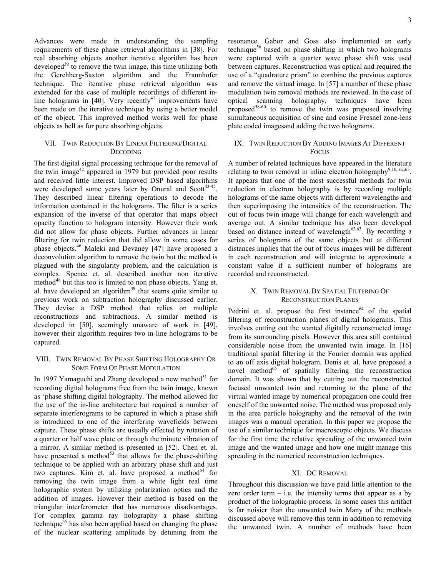Advances were made in understanding the sampling requirements of these phase retrieval algorithms in [38]. For real absorbing objects another iterative algorithm has been developed $39$  to remove the twin image, this time utilizing both the Gerchberg-Saxton algorithm and the Fraunhofer technique. The iterative phase retrieval algorithm was extended for the case of multiple recordings of different inline holograms in  $[40]$ . Very recently<sup>41</sup> improvements have been made on the iterative technique by using a better model of the object. This improved method works well for phase objects as bell as for pure absorbing objects.

## VII. TWIN REDUCTION BY LINEAR FILTERING/DIGITAL **DECODING**

The first digital signal processing technique for the removal of the twin image<sup>42</sup> appeared in 1979 but provided poor results and received little interest. Improved DSP based algorithms were developed some years later by Onural and Scott<sup>43-45</sup>. They described linear filtering operations to decode the information contained in the holograms. The filter is a series expansion of the inverse of that operator that maps object opacity function to hologram intensity. However their work did not allow for phase objects. Further advances in linear filtering for twin reduction that did allow in some cases for phase objects.46 Maleki and Devaney [47] have proposed a deconvolution algorithm to remove the twin but the method is plagued with the singularity problem, and the calculation is complex. Spence et. al. described another non iterative method<sup>48</sup> but this too is limited to non phase objects. Yang et. al. have developed an algorithm $49$  that seems quite similar to previous work on subtraction holography discussed earlier. They devise a DSP method that relies on multiple reconstructions and subtractions. A similar method is developed in [50], seemingly unaware of work in [49], however their algorithm requires two in-line holograms to be captured.

## VIII. TWIN REMOVAL BY PHASE SHIFTING HOLOGRAPHY OR SOME FORM OF PHASE MODULATION

In 1997 Yamaguchi and Zhang developed a new method<sup>51</sup> for recording digital holograms free from the twin image, known as 'phase shifting digital holography. The method allowed for the use of the in-line architecture but required a number of separate interferograms to be captured in which a phase shift is introduced to one of the interfering wavefields between capture. These phase shifts are usually effected by rotation of a quarter or half wave plate or through the minute vibration of a mirror. A similar method is presented in [52]. Chen et. al. have presented a method $53$  that allows for the phase-shifting technique to be applied with an arbitrary phase shift and just two captures. Kim et. al. have proposed a method<sup>54</sup> for removing the twin image from a white light real time holographic system by utilizing polarization optics and the addition of images. However their method is based on the triangular interferometer that has numerous disadvantages. For complex gamma ray holography a phase shifting technique $55$  has also been applied based on changing the phase of the nuclear scattering amplitude by detuning from the resonance. Gabor and Goss also implemented an early technique<sup>56</sup> based on phase shifting in which two holograms were captured with a quarter wave phase shift was used between captures. Reconstruction was optical and required the use of a "quadrature prism" to combine the previous captures and remove the virtual image. In [57] a number of these phase

modulation twin removal methods are reviewed. In the case of optical scanning holography, techniques have been proposed $58-60$  to remove the twin was proposed involving simultaneous acquisition of sine and cosine Fresnel zone-lens plate coded imagesand adding the two holograms.

## IX. TWIN REDUCTION BY ADDING IMAGES AT DIFFERENT **FOCUS**

A number of related techniques have appeared in the literature relating to twin removal in inline electron holography<sup>9,10, 62,63</sup>. It appears that one of the most successful methods for twin reduction in electron holography is by recording multiple holograms of the same objects with different wavelengths and then superimposing the intensities of the reconstruction. The out of focus twin image will change for each wavelength and average out. A similar technique has also been developed based on distance instead of wavelength $62,63$ . By recording a series of holograms of the same objects but at different distances implies that the out of focus images will be different in each reconstruction and will integrate to approximate a constant value if a sufficient number of holograms are recorded and reconstructed.

## X. TWIN REMOVAL BY SPATIAL FILTERING OF RECONSTRUCTION PLANES

Pedrini et. al. propose the first instance<sup>64</sup> of the spatial filtering of reconstruction planes of digital holograms. This involves cutting out the wanted digitally reconstructed image from its surrounding pixels. However this area still contained considerable noise from the unwanted twin image. In [16] traditional spatial filtering in the Fourier domain was applied to an off axis digital hologram. Denis et. al. have proposed a novel method $^{65}$  of spatially filtering the reconstruction domain. It was shown that by cutting out the reconstructed focused unwanted twin and returning to the plane of the virtual wanted image by numerical propagation one could free oneself of the unwanted noise. The method was proposed only in the area particle holography and the removal of the twin images was a manual operation. In this paper we propose the use of a similar technique for macroscopic objects. We discuss for the first time the relative spreading of the unwanted twin image and the wanted image and how one might manage this spreading in the numerical reconstruction techniques.

#### XI. DC REMOVAL

Throughout this discussion we have paid little attention to the zero order term  $-$  i.e. the intensity terms that appear as a by product of the holographic process. In some cases this artifact is far noisier than the unwanted twin Many of the methods discussed above will remove this term in addition to removing the unwanted twin. A number of methods have been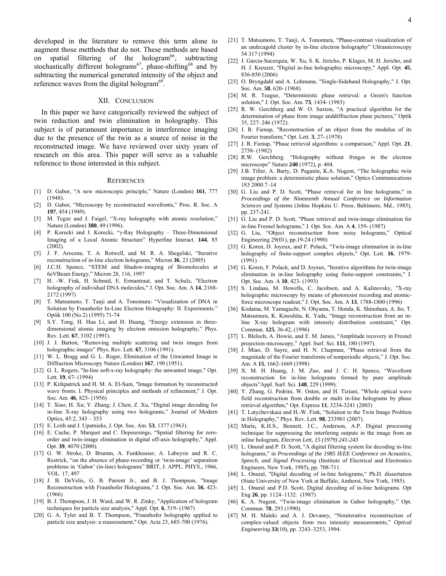developed in the literature to remove this term alone to augment those metthods that do not. These methods are based on spatial filtering of the hologram<sup>66</sup>, subtracting stochastically different holograms<sup>67</sup>, phase-shifting<sup>68</sup> and by subtracting the numerical generated intensity of the object and reference waves from the digital hologram $69$ .

#### XII. CONCLUSION

In this paper we have categorically reviewed the subject of twin reduction and twin elimination in holography. This subject is of paramount importance in interference imaging due to the presence of the twin as a source of noise in the reconstructed image. We have reviewed over sixty years of research on this area. This paper will serve as a valuable reference to those interested in this subject.

#### **REFERENCES**

- [1] D. Gabor, "A new microscopic principle," Nature (London) **161**, 777 (1948).
- [2] D. Gabor, "Microscopy by reconstructed wavefronts," Proc. R. Soc. A **197**, 454 (1949).
- M. Tegze and J. Faigel, "X-ray holography with atomic resolution," Nature (London) **380**, 49 (1996).
- [4] P. Korecki and J. Korecki, "γ-Ray Holography Three-Dimensional Imaging of a Local Atomic Structure" Hyperfine Interact. **144**, 85 (2002).
- [5] J. F. Arocena, T. A. Rotwell, and M. R. A. Shegelski, "Iterative reconstruction of in-line electron holograms," Micron **36**, 23 (2005)
- [6] J.C.H. Spence, "STEM and Shadow-imaging of Biomolecules at 6eVBeam Energy," Micron 28, 116, 1997
- [7] H. -W. Fink, H. Schmid, E. Ermantraut, and T. Schulz, "Electron holography of individual DNA molecules," J. Opt. Soc. Am. A **14**, 2168- 2172 (1997)
- [8] T. Matsumoto, T. Tanji and A. Tonomura: "Visualization of DNA in Solution by Fraunhofer In-Line Electron Holography: II. Experiments." Optik 100 (No.2) (1995) 71-74
- S.Y. Tong, H. Hua Li, and H. Huang, "Energy extension in threedimensional atomic imaging by electron emission holography," Phys. Rev. Lett. **67**, 3102 (1991).
- [10] J. J. Barton, "Removing multiple scattering and twin images from holographic images" Phys. Rev. Lett. **67**, 3106 (1991).
- [11] W. L. Bragg and G. L. Roger, Elimination of the Unwanted Image in Diffraction Microscopy Nature (London) **167**, 190 (1951).
- [12] G. L. Rogers, "In-line soft-x-ray holography: the unwanted image," Opt. Lett. **19**, 67- (1994)
- [13] P. Kirkpatrick and H. M. A. El-Sum, "Image formation by reconstructed wave fronts. I. Physical principles and methods of refinement," J. Opt. Soc. Am. **46**, 825- (1956)
- [14] T. Xiao; H. Xu; Y. Zhang; J. Chen; Z. Xu, "Digital image decoding for in-line X-ray holography using two holograms," Journal of Modern Optics, 45:2, 343 – 353
- [15] E. Leith and J. Upatnieks, J. Opt. Soc. Am. **53**, 1377 (1963).
- [16] E. Cuche, P. Marquet and C. Depeursinge, "Spatial filtering for zeroorder and twin-image elimination in digital off-axis holography," Appl. Opt. **39**, 4070 (2000).
- [17] G. W. Stroke, D. Brumm, A. Funkhouser, A. Labeyrie and R. C*.*  Restrick, "on the absence of phase-recording or 'twin-image' separation problems in 'Gabor' (in-line) holograms" BRIT, J. APPL. PHYS., 1966, VOL. 17, 497
- [18] J. B. DeVelis, G. B. Parrent Jr., and B. J. Thompson, "Image Reconstruction with Fraunhofer Holograms," J. Opt. Soc. Am. **56**, 423- (1966)
- [19] B. J. Thompson, J. H. Ward, and W. R. Zinky, "Application of hologram techniques for particle size analysis," Appl. Opt. **6**, 519- (1967)
- [20] G. A. Tyler and B. T. Thompson, "Fraunhofer holography applied to particle size analysis: a reassessment," Opt. Acta 23, 685-700 (1976).
- [21] T. Matsumoto, T. Tanji, A. Tonomura, "Phase-contrast visualization of an undecagold cluster by in-line electron holography" Ultramicroscopy 54 317 (1994)
- [22] J. Garcia-Sucerquia, W. Xu, S. K. Jericho, P. Klages, M. H. Jericho, and H. J. Kreuzer, "Digital in-line holographic microscopy," Appl. Opt. **45**, 836-850 (2006)
- [23] O. Bryngdahl and A. Lohmann, "Single-Sideband Holography," J. Opt. Soc. Am. **58**, 620- (1968)
- [24] M. R. Teague, "Deterministic phase retrieval: a Green's function solution," J. Opt. Soc. Am. **73**, 1434- (1983)
- [25] R. W. Gerchberg and W. O. Saxton, "A practical algorithm for the determination of phase from image anddiffraction plane pictures," Optik 35, 227–246 (1972).
- [26] J. R. Fienup, "Reconstruction of an object from the modulus of its Fourier transform," Opt. Lett. **3**, 27- (1978)
- [27] J. R. Fienup, "Phase retrieval algorithms: a comparison," Appl. Opt. **21**, 2758- (1982)
- [28] R.W. Gerchberg. "Holography without fringes in the electron microscope" Nature **240** (1972), p. 404.
- [29] J.B. Tiller, A. Barty, D. Paganin, K.A. Nugent, "The holographic twin image problem: a deterministic phase solution," Optics Communications 183 2000.7–14
- [30] G. Liu and P. D. Scott, "Phase retrieval for in line holograms," in *Proceedings of the Nineteenth Annual Conference on Information Sciences and Systems* (Johns Hopkins U. Press, Baltimore, Md., 1985), pp. 237-241.
- [31] G. Liu and P. D. Scott, "Phase retrieval and twin-image elimination for in-line Fresnel holograms," J. Opt. Soc. Am. A **4**, 159- (1987)
- [32] G. Liu, "Object reconstruction from noisy holograms," Optical Engineering 29(01), pp.19-24 (1990)
- [33] G. Koren, D. Joyeux, and F. Polack, "Twin-image elimination in in-line holography of finite-support complex objects," Opt. Lett. **16**, 1979- (1991)
- [34] G. Koren, F. Polack, and D. Joyeux, "Iterative algorithms for twin-image elimination in in-line holography using finite-support constraints," J. Opt. Soc. Am. A **10**, 423- (1993)
- [35] S. Lindaas, M. Howells, C. Jacobsen, and A. Kalinovsky, "X-ray holographic microscopy by means of photoresist recording and atomicforce microscope readout," J. Opt. Soc. Am. A **13**, 1788-1800 (1996)
- [36] Kodama, M. Yamaguchi, N. Ohyama, T. Honda, K. Shinohara, A. Ito, T. Matsumura, K. Kinoshita, K. Yada, "Image reconstruction from an inline X-ray hologram with intensity distribution constraint," Opt. Commun. **125**, 36-42, (1996)
- [37] L. Bleloch, A. Howie, and E. M. James, "Amplitude recovery in Fresnel projection microscopy," Appl. Surf. Sci. **111**, 180 (1997).
- [38] J. Miao, D. Sayre, and H. N. Chapman, "Phase retrieval from the magnitude of the Fourier transforms of nonperiodic objects," J. Opt. Soc. Am. A **15**, 1662-1669 (1998)
- [39] X. M. H. Huang, J. M. Zuo, and J. C. H. Spence, "Wavefront reconstruction for in-line holograms formed by pure amplitude objects"Appl. Surf. Sci. **148**, 229 (1999).
- [40] Y. Zhang, G. Pedrini, W. Osten, and H. Tiziani, "Whole optical wave field reconstruction from double or multi in-line holograms by phase retrieval algorithm," Opt. Express **11**, 3234-3241 (2003)
- [41] T. Latychevskaia and H.-W. Fink, "Solution to the Twin Image Problem in Holography," Phys. Rev. Lett. **98**, 233901 (2007).
- [42] Marie**,** K.H.S., Bennett, J.C., Anderson, A.P. Digital processing technique for suppressing the interfering outputs in the image from an inline hologram, *Electron Lett, 15 (1979) 241-243*
- [43] L. Onural and P. D. Scott, "A digital filtering system for decoding in-line holograms," in *Proceedings of the 1985 IEEE Conference on Acoustics, Speech, and Signal Processing* (Institute of Electrical and Electronics Engineers, New York, 1985), pp. 708-711.
- [44] L. Onural, "Digital decoding of in-line holograms," Ph.D. dissertation (State University of New York at Buffalo, Amherst, New York, 1985).
- [45] L. Onural and P.D. Scott, Digital decoding of in-line holograms. Opt Eng **26**, pp. 1124–1132. (1987)
- [46] K. A. Nugent, "Twin-image elimination in Gabor holography," Opt. Commun. **78**, 293 (1990).
- [47] M. H. Maleki and A. J. Devaney, "Noniterative reconstruction of complex-valued objects from two intensity measurements," *Optical Engineering* **33**(10), pp. 3243–3253, 1994.